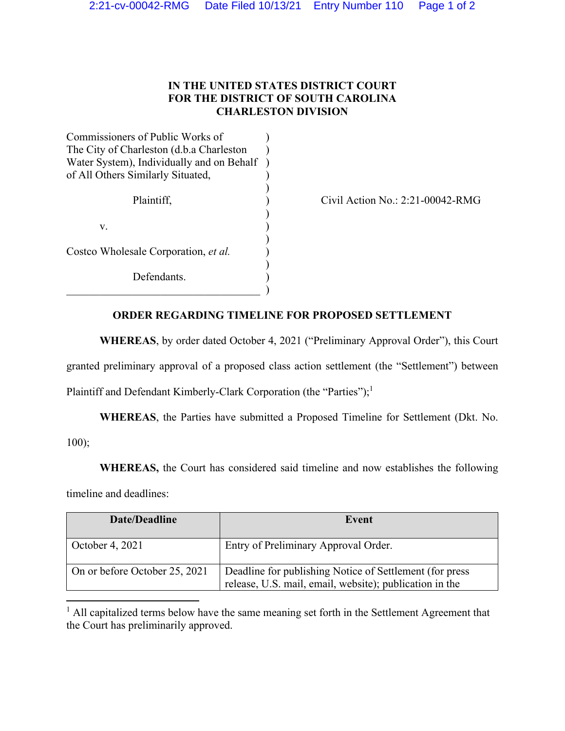## **IN THE UNITED STATES DISTRICT COURT FOR THE DISTRICT OF SOUTH CAROLINA CHARLESTON DIVISION**

| Commissioners of Public Works of          |  |  |
|-------------------------------------------|--|--|
| The City of Charleston (d.b.a Charleston  |  |  |
| Water System), Individually and on Behalf |  |  |
| of All Others Similarly Situated,         |  |  |
|                                           |  |  |
| Plaintiff,                                |  |  |
|                                           |  |  |
| v.                                        |  |  |
|                                           |  |  |
| Costco Wholesale Corporation, et al.      |  |  |
|                                           |  |  |
| Defendants.                               |  |  |
|                                           |  |  |

Civil Action No.: 2:21-00042-RMG

## **ORDER REGARDING TIMELINE FOR PROPOSED SETTLEMENT**

**WHEREAS**, by order dated October 4, 2021 ("Preliminary Approval Order"), this Court granted preliminary approval of a proposed class action settlement (the "Settlement") between Plaintiff and Defendant Kimberly-Clark Corporation (the "Parties");<sup>1</sup>

**WHEREAS**, the Parties have submitted a Proposed Timeline for Settlement (Dkt. No. 100);

**WHEREAS,** the Court has considered said timeline and now establishes the following timeline and deadlines:

| Date/Deadline                 | Event                                                                                                              |
|-------------------------------|--------------------------------------------------------------------------------------------------------------------|
| October 4, 2021               | Entry of Preliminary Approval Order.                                                                               |
| On or before October 25, 2021 | Deadline for publishing Notice of Settlement (for press<br>release, U.S. mail, email, website); publication in the |

 $<sup>1</sup>$  All capitalized terms below have the same meaning set forth in the Settlement Agreement that</sup> the Court has preliminarily approved.